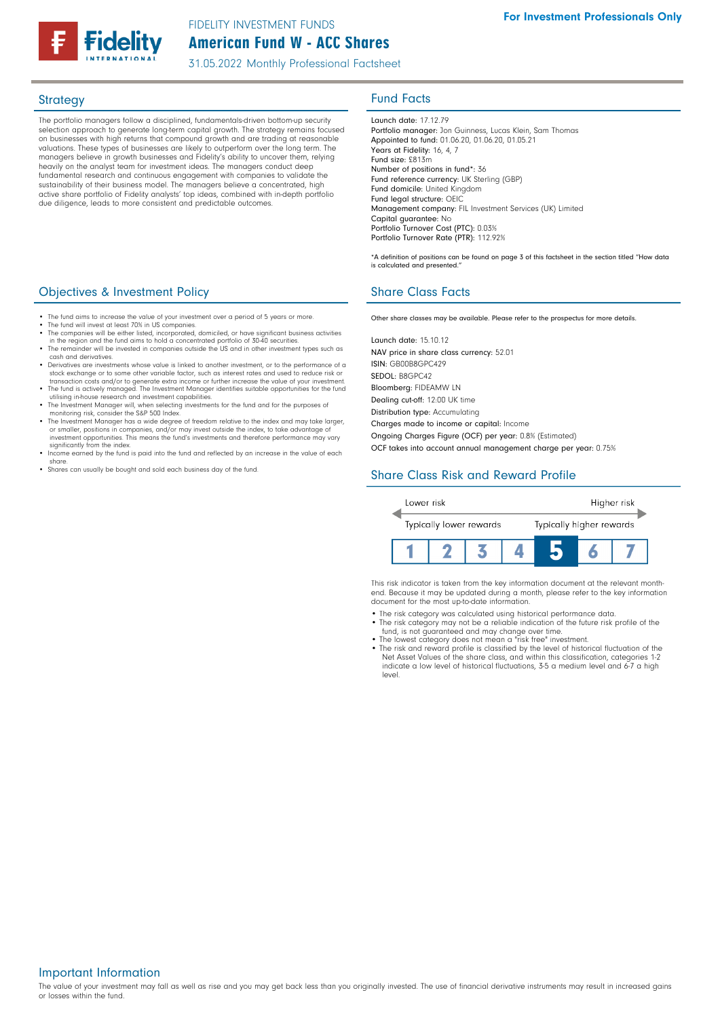

The portfolio managers follow a disciplined, fundamentals-driven bottom-up security selection approach to generate long-term capital growth. The strategy remains focused on businesses with high returns that compound growth and are trading at reasonable valuations. These types of businesses are likely to outperform over the long term. The managers believe in growth businesses and Fidelity's ability to uncover them, relying heavily on the analyst team for investment ideas. The managers conduct deep fundamental research and continuous engagement with companies to validate the sustainability of their business model. The managers believe a concentrated, high active share portfolio of Fidelity analysts' top ideas, combined with in-depth portfolio due diligence, leads to more consistent and predictable outcomes.

## **Objectives & Investment Policy Share Class Facts** Share Class Facts

- The fund aims to increase the value of your investment over a period of 5 years or more
- 
- The fund will invest at least 70% in US companies. The companies will be either listed, incorporated, domiciled, or have significant business activities
- in the region and the fund aims to hold a concentrated portfolio of 30-40 securities. The remainder will be invested in companies outside the US and in other investment types such as cash and derivatives.
- Derivatives are investments whose value is linked to another investment, or to the performance of a stock exchange or to some other variable factor, such as interest rates and used to reduce risk or transaction costs and/or to generate extra income or further increase the value of your investment.
- The fund is actively managed. The Investment Manager identifies suitable opportunities for the fund utilising in-house research and investment capabilities.
- The Investment Manager will, when selecting investments for the fund and for the purposes of
- monitoring risk, consider the S&P 500 Index. The Investment Manager has a wide degree of freedom relative to the index and may take larger, or smaller, positions in companies, and/or may invest outside the index, to take advantage of investment opportunities. This means the fund's investments and therefore performance may vary significantly from the index.
- Income earned by the fund is paid into the fund and reflected by an increase in the value of each share.
- Shares can usually be bought and sold each business day of the fund.

# Strategy **Fund Facts**

Launch date: 17.12.79 Portfolio manager: Jon Guinness, Lucas Klein, Sam Thomas Appointed to fund: 01.06.20, 01.06.20, 01.05.21 Years at Fidelity: 16, 4, 7 Fund size: £813m Number of positions in fund\*: 36 Fund reference currency: UK Sterling (GBP) Fund domicile: United Kingdom Fund legal structure: OEIC Management company: FIL Investment Services (UK) Limited Capital guarantee: No Portfolio Turnover Cost (PTC): 0.03% Portfolio Turnover Rate (PTR): 112.92%

\*A definition of positions can be found on page 3 of this factsheet in the section titled "How data is calculated and presented."

Other share classes may be available. Please refer to the prospectus for more details.

Launch date: 15.10.12 NAV price in share class currency: 52.01 ISIN: GB00B8GPC429 SEDOL: B8GPC42 Bloomberg: FIDEAMW LN Dealing cut-off: 12:00 UK time Distribution type: Accumulating

Charges made to income or capital: Income

Ongoing Charges Figure (OCF) per year: 0.8% (Estimated)

OCF takes into account annual management charge per year: 0.75%

# Share Class Risk and Reward Profile



This risk indicator is taken from the key information document at the relevant monthend. Because it may be updated during a month, please refer to the key information document for the most up-to-date information.

- The risk category was calculated using historical performance data.
- The risk category may not be a reliable indication of the future risk profile of the fund, is not guaranteed and may change over time.
- The lowest category does not mean a "risk free" investment. The risk and reward profile is classified by the level of historical fluctuation of the Net Asset Values of the share class, and within this classification, categories 1-2 indicate a low level of historical fluctuations, 3-5 a medium level and 6-7 a high level.

### Important Information

The value of your investment may fall as well as rise and you may get back less than you originally invested. The use of financial derivative instruments may result in increased gains or losses within the fund.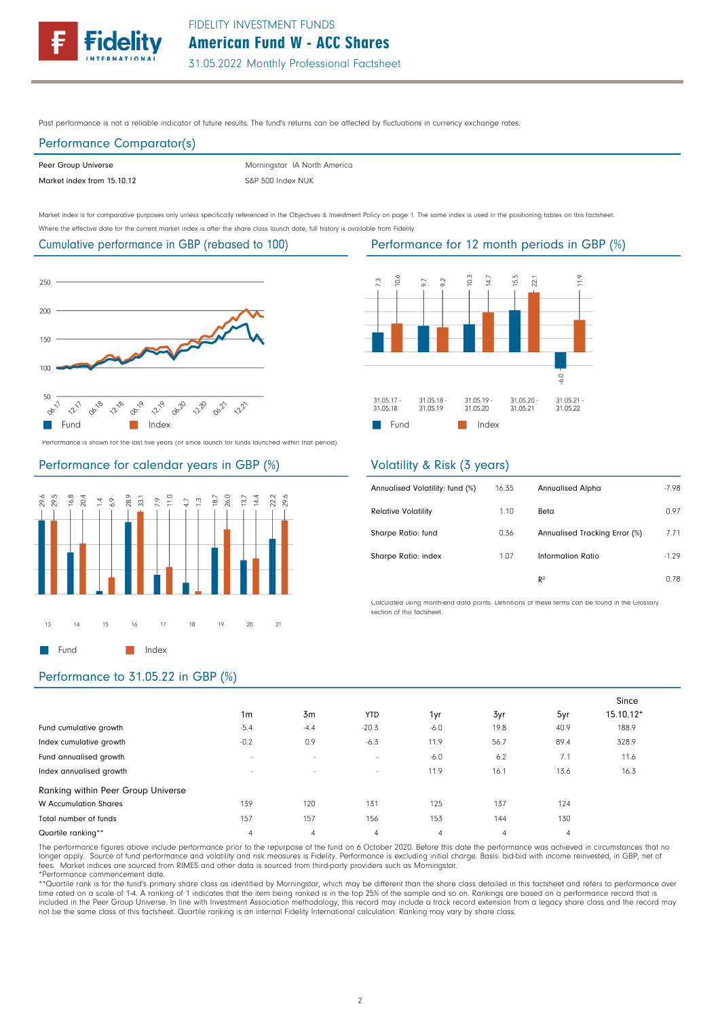Past performance is not a reliable indicator of future results. The fund's returns can be affected by fluctuations in currency exchange rates.

# Performance Comparator(s)

| Peer Group Universe        | Morningstar IA North America |
|----------------------------|------------------------------|
| Market index from 15.10.12 | S&P 500 Index NUK            |

Market index is for comparative purposes only unless specifically referenced in the Objectives & Investment Policy on page 1. The same index is used in the positioning tables on this factsheet. Where the effective date for the current market index is after the share class launch date, full history is available from Fidelity.

# Cumulative performance in GBP (rebased to 100)



Performance is shown for the last five years (or since launch for funds launched within that period).

### Performance for calendar years in GBP (%)







## Performance to 31.05.22 in GBP (%)

|                          |                          |                          |                          | <b>Exposition to the internal periods in Obi</b> | - 12 |
|--------------------------|--------------------------|--------------------------|--------------------------|--------------------------------------------------|------|
| 10.6<br>7.3              | 9.2<br>56                | 10.3<br>14.7             | 15.5<br>22.1             | 11.9                                             |      |
|                          |                          |                          |                          | $-6.0$                                           |      |
| $31.05.17 -$<br>31.05.18 | $31.05.18 -$<br>31.05.19 | $31.05.19 -$<br>31.05.20 | $31.05.20 -$<br>31.05.21 | $31.05.21 -$<br>31.05.22                         |      |
| Fund                     |                          | Index                    |                          |                                                  |      |

# Volatility & Risk (3 years)

| Annualised Volatility: fund (%) | 16.35 | <b>Annualised Alpha</b>       | $-7.98$ |
|---------------------------------|-------|-------------------------------|---------|
| <b>Relative Volatility</b>      | 1.10  | Beta                          | 0.97    |
| Sharpe Ratio: fund              | 0.36  | Annualised Tracking Error (%) | 7.71    |
| Sharpe Ratio: index             | 1.07  | Information Ratio             | $-1.29$ |
|                                 |       | R <sup>2</sup>                | 0.78    |

Calculated using month-end data points. Definitions of these terms can be found in the Glossary section of this factsheet.

#### 40.9 13.6 124 130 4 7.1 89.4 5yr Since 15.10.12\* 188.9 16.3 11.6 328.9 19.8 16.1 137 144 4 6.2 56.7 3yr Fund cumulative growth Index cumulative growth Fund annualised growth Index annualised growth  $-5.4$   $-4.4$ - -  $-20.3$   $-6.0$ - 11.9 139 157 4 120 157 4 131 156 4 125 153 4 Total number of funds Quartile ranking\*\* Ranking within Peer Group Universe W Accumulation Shares -0.2 - 0.9 - -6.3 -6.0 11.9 - 1m 3m YTD 1yr

The performance figures above include performance prior to the repurpose of the fund on 6 October 2020. Before this date the performance was achieved in circumstances that no longer apply. Source of fund performance and volatility and risk measures is Fidelity. Performance is excluding initial charge. Basis: bid-bid with income reinvested, in GBP, net ot<br>fees. Market indices are sourced from RI

\*Performance commencement date.<br>\*\*Quartile rank is for the fund's primary share class as identified by Morningstar, which may be different than the share class detailed in this factsheet and refers to performance over<br>time not be the same class of this factsheet. Quartile ranking is an internal Fidelity International calculation. Ranking may vary by share class.

#### Performance for 12 month periods in GBP (%)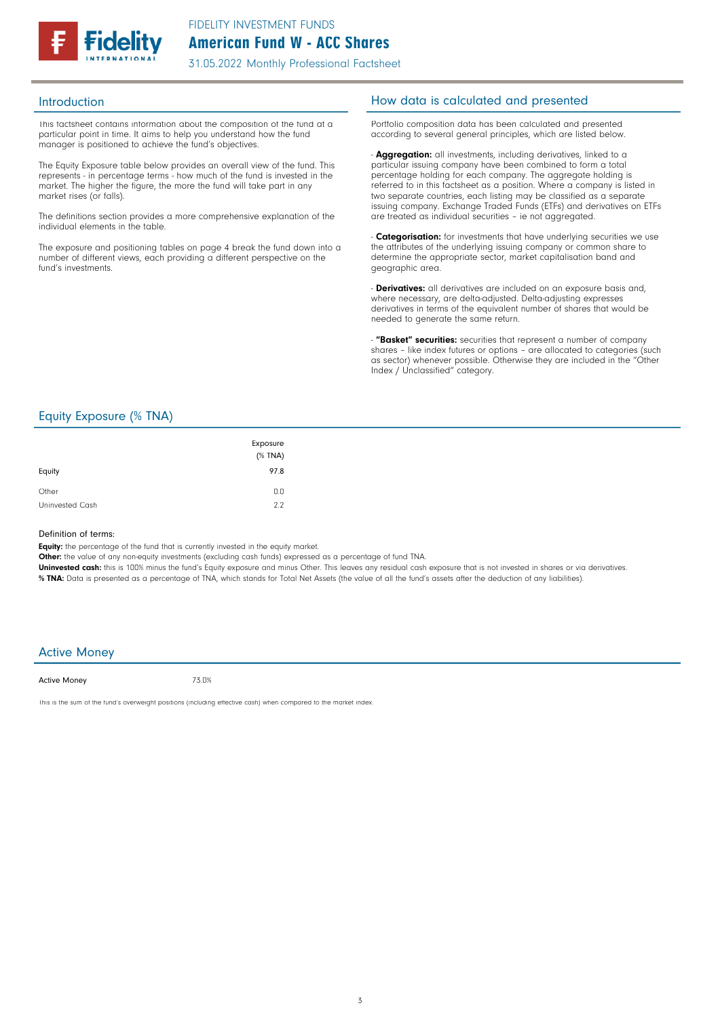

This factsheet contains information about the composition of the fund at a particular point in time. It aims to help you understand how the fund manager is positioned to achieve the fund's objectives.

The Equity Exposure table below provides an overall view of the fund. This represents - in percentage terms - how much of the fund is invested in the market. The higher the figure, the more the fund will take part in any market rises (or falls).

The definitions section provides a more comprehensive explanation of the individual elements in the table.

The exposure and positioning tables on page 4 break the fund down into a number of different views, each providing a different perspective on the fund's investments.

### Introduction **Introduction How data is calculated and presented**

Portfolio composition data has been calculated and presented according to several general principles, which are listed below.

- **Aggregation:** all investments, including derivatives, linked to a particular issuing company have been combined to form a total percentage holding for each company. The aggregate holding is referred to in this factsheet as a position. Where a company is listed in two separate countries, each listing may be classified as a separate issuing company. Exchange Traded Funds (ETFs) and derivatives on ETFs are treated as individual securities – ie not aggregated.

**Categorisation:** for investments that have underlying securities we use the attributes of the underlying issuing company or common share to determine the appropriate sector, market capitalisation band and geographic area.

- **Derivatives:** all derivatives are included on an exposure basis and, where necessary, are delta-adjusted. Delta-adjusting expresses derivatives in terms of the equivalent number of shares that would be needed to generate the same return.

"Basket" securities: securities that represent a number of company shares - like index futures or options - are allocated to categories (such as sector) whenever possible. Otherwise they are included in the "Other Index / Unclassified" category.

### Equity Exposure (% TNA)

| Equity          | Exposure<br>(% TNA)<br>97.8 |
|-----------------|-----------------------------|
| Other           | 0.0                         |
| Uninvested Cash | 2.2                         |

#### Definition of terms:

Equity: the percentage of the fund that is currently invested in the equity market.

Other: the value of any non-equity investments (excluding cash funds) expressed as a percentage of fund TNA.

Uninvested cash: this is 100% minus the fund's Equity exposure and minus Other. This leaves any residual cash exposure that is not invested in shares or via derivatives. % TNA: Data is presented as a percentage of TNA, which stands for Total Net Assets (the value of all the fund's assets after the deduction of any liabilities).

### Active Money

Active Money

73.0%

This is the sum of the fund's overweight positions (including effective cash) when compared to the market index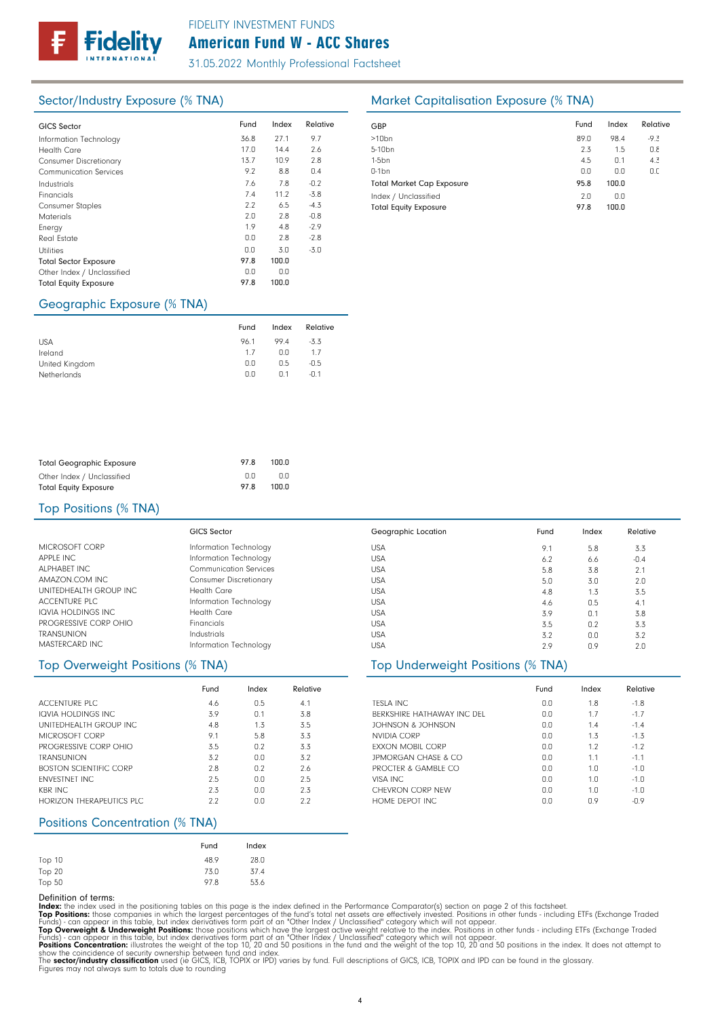# American Fund W - ACC Shares FIDELITY INVESTMENT FUNDS

31.05.2022 Monthly Professional Factsheet

| <b>GICS Sector</b>            | Fund | Index | Relative | GBP              |
|-------------------------------|------|-------|----------|------------------|
| Information Technology        | 36.8 | 27.1  | 9.7      | >10 <sub>k</sub> |
| <b>Health Care</b>            | 17.0 | 14.4  | 2.6      | $5 - 10$         |
| <b>Consumer Discretionary</b> | 13.7 | 10.9  | 2.8      | 1-5b             |
| <b>Communication Services</b> | 9.2  | 8.8   | 0.4      | $0-1b$           |
| Industrials                   | 7.6  | 7.8   | $-0.2$   | Tota             |
| Financials                    | 7.4  | 11.2  | $-3.8$   | Inde             |
| <b>Consumer Staples</b>       | 2.2  | 6.5   | $-4.3$   | Tota             |
| <b>Materials</b>              | 2.0  | 2.8   | $-0.8$   |                  |
| Energy                        | 1.9  | 4.8   | $-2.9$   |                  |
| Real Estate                   | 0.0  | 2.8   | $-2.8$   |                  |
| <b>Utilities</b>              | 0.0  | 3.0   | $-3.0$   |                  |
| <b>Total Sector Exposure</b>  | 97.8 | 100.0 |          |                  |
| Other Index / Unclassified    | 0.0  | 0.0   |          |                  |
| <b>Total Equity Exposure</b>  | 97.8 | 100.0 |          |                  |
|                               |      |       |          |                  |

# Sector/Industry Exposure (% TNA) Market Capitalisation Exposure (% TNA)

| GBP                                                  | Fund        | Index        | Relative |
|------------------------------------------------------|-------------|--------------|----------|
| $>10$ bn                                             | 89.0        | 98.4         | $-9.3$   |
| 5-10 <sub>bn</sub>                                   | 2.3         | 1.5          | 0.8      |
| $1-5bn$                                              | 4.5         | 0.1          | 4.3      |
| $0-1$ bn                                             | 0.0         | 0.0          | 0.0      |
| <b>Total Market Cap Exposure</b>                     | 95.8        | 100.0        |          |
| Index / Unclassified<br><b>Total Equity Exposure</b> | 2.0<br>97.8 | 0.0<br>100.0 |          |

## Geographic Exposure (% TNA)

|                | Fund | Index          | Relative |
|----------------|------|----------------|----------|
| <b>USA</b>     | 96.1 | 994            | $-3.3$   |
| Ireland        | 17   | 0.0            | 1.7      |
| United Kingdom | 0.0  | 0.5            | $-0.5$   |
| Netherlands    | 0.0  | n <sub>1</sub> | $-0.1$   |

| <b>Total Geographic Exposure</b> | 978 | 100.0 |
|----------------------------------|-----|-------|
| Other Index / Unclassified       | n n | 0.0   |
| <b>Total Equity Exposure</b>     | 978 | 100.0 |

### Top Positions (% TNA)

|                           | <b>GICS Sector</b>            | Geographic Location |
|---------------------------|-------------------------------|---------------------|
| MICROSOFT CORP            | Information Technology        | <b>USA</b>          |
| APPLE INC                 | Information Technology        | <b>USA</b>          |
| ALPHABET INC              | <b>Communication Services</b> | <b>USA</b>          |
| AMAZON.COM INC.           | <b>Consumer Discretionary</b> | <b>USA</b>          |
| UNITEDHEALTH GROUP INC    | Health Care                   | <b>USA</b>          |
| <b>ACCENTURE PLC</b>      | Information Technology        | <b>USA</b>          |
| <b>IQVIA HOLDINGS INC</b> | Health Care                   | <b>USA</b>          |
| PROGRESSIVE CORP OHIO     | <b>Financials</b>             | <b>USA</b>          |
| <b>TRANSUNION</b>         | Industrials                   | <b>USA</b>          |
| MASTERCARD INC            | Information Technology        | <b>USA</b>          |

|                               | Fund | Index | Relative |
|-------------------------------|------|-------|----------|
| ACCENTURE PLC                 | 4.6  | 0.5   | 4.1      |
| IQVIA HOLDINGS INC.           | 3.9  | 0.1   | 3.8      |
| UNITEDHEALTH GROUP INC.       | 4.8  | 1.3   | 3.5      |
| MICROSOFT CORP                | 9.1  | 5.8   | 3.3      |
| PROGRESSIVE CORP OHIO         | 3.5  | 0.2   | 3.3      |
| <b>TRANSUNION</b>             | 3.2  | 0.0   | 3.2      |
| <b>BOSTON SCIENTIFIC CORP</b> | 2.8  | 0.2   | 2.6      |
| <b>FNVESTNET INC.</b>         | 2.5  | 0.0   | 2.5      |
| <b>KBR INC</b>                | 2.3  | 0.0   | 2.3      |
| HORIZON THERAPEUTICS PLC.     | 2.2  | n n   | 2.2      |

## Positions Concentration (% TNA)

|        | Fund | Index |
|--------|------|-------|
| Top 10 | 48.9 | 28.0  |
| Top 20 | 73.0 | 37.4  |
| Top 50 | 97.8 | 53.6  |

Definition of terms:<br>
Top Positions: these din the positioning tables on this page is the index defined in the Performance Comparator(s) section on page 2 of this factsheet.<br>
ITOP Positions: those companies in which the la

| Geographic Location | Fund | Index          | Relative |  |
|---------------------|------|----------------|----------|--|
| <b>USA</b>          | 9.1  | 5.8            | 3.3      |  |
| <b>USA</b>          | 6.2  | 6.6            | $-0.4$   |  |
| <b>USA</b>          | 5.8  | 3.8            | 2.1      |  |
| <b>USA</b>          | 5.0  | 3.0            | 2.0      |  |
| <b>USA</b>          | 4.8  | 1.3            | 3.5      |  |
| <b>USA</b>          | 4.6  | 0.5            | 4.1      |  |
| <b>USA</b>          | 3.9  | 0.1            | 3.8      |  |
| <b>USA</b>          | 3.5  | 0.2            | 3.3      |  |
| <b>USA</b>          | 3.2  | 0.0            | 3.2      |  |
| <b>USA</b>          | 29   | $\cap$ $\circ$ | 2n       |  |

# Top Overweight Positions (% TNA) Top Underweight Positions (% TNA)

|                                | Fund | Index | Relative |
|--------------------------------|------|-------|----------|
| TESLA INC.                     | 0.0  | 1.8   | $-1.8$   |
| BERKSHIRE HATHAWAY INC DEL     | 0.0  | 1.7   | $-1.7$   |
| JOHNSON & JOHNSON              | 0.0  | 1.4   | $-1.4$   |
| NVIDIA CORP                    | 0.0  | 1.3   | $-1.3$   |
| <b>FXXON MOBIL CORP</b>        | 0.0  | 1.2   | $-1.2$   |
| <b>JPMORGAN CHASE &amp; CO</b> | 0.0  | 1.1   | $-1.1$   |
| PROCTER & GAMBLE CO.           | 0.0  | 1.0   | $-1.0$   |
| VISA INC                       | 0.0  | 1.0   | $-1.0$   |
| CHEVRON CORP NEW               | 0.0  | 1.0   | $-1.0$   |
| HOME DEPOT INC.                | 0.0  | 0.9   | $-0.9$   |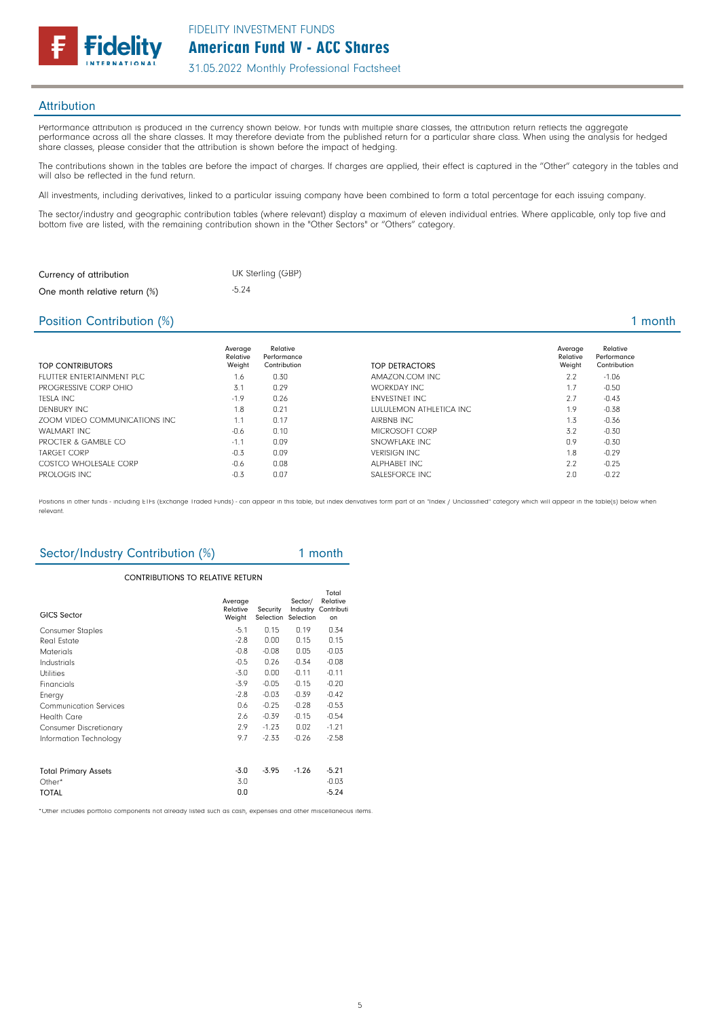

### **Attribution**

Performance attribution is produced in the currency shown below. For funds with multiple share classes, the attribution return reflects the aggregate performance across all the share classes. It may therefore deviate from the published return for a particular share class. When using the analysis for hedged share classes, please consider that the attribution is shown before the impact of hedging.

The contributions shown in the tables are before the impact of charges. If charges are applied, their effect is captured in the "Other" category in the tables and will also be reflected in the fund return.

All investments, including derivatives, linked to a particular issuing company have been combined to form a total percentage for each issuing company.

The sector/industry and geographic contribution tables (where relevant) display a maximum of eleven individual entries. Where applicable, only top five and bottom five are listed, with the remaining contribution shown in the "Other Sectors" or "Others" category.

| Currency of attribution       | UK Sterling (GBP) |
|-------------------------------|-------------------|
| One month relative return (%) | $-5.24$           |

#### Position Contribution (%) 2 and 2 and 2 and 2 and 2 and 2 and 2 and 2 and 2 and 2 and 2 and 2 and 2 and 2 and 2 and 2 and 2 and 2 and 2 and 2 and 2 and 2 and 2 and 2 and 2 and 2 and 2 and 2 and 2 and 2 and 2 and 2 and 2 an

| TOP CONTRIBUTORS              | Average<br>Relative<br>Weight | Relative<br>Performance<br>Contribution | TOP DETRACTORS           | Average<br>Relative<br>Weight | Relative<br>Performance<br>Contribution |
|-------------------------------|-------------------------------|-----------------------------------------|--------------------------|-------------------------------|-----------------------------------------|
| FLUTTER ENTERTAINMENT PLC.    | 1.6                           | 0.30                                    | AMAZON.COM INC.          | 2.2                           | $-1.06$                                 |
| PROGRESSIVE CORP OHIO         | 3.1                           | 0.29                                    | WORKDAY INC              | 1.7                           | $-0.50$                                 |
| TESLA INC                     | $-1.9$                        | 0.26                                    | <b>ENVESTNET INC</b>     | 2.7                           | $-0.43$                                 |
| DENBURY INC                   | 1.8                           | 0.21                                    | LULULEMON ATHLETICA INC. | 1.9                           | $-0.38$                                 |
| ZOOM VIDEO COMMUNICATIONS INC | 1.1                           | 0.17                                    | AIRBNB INC               | 1.3                           | $-0.36$                                 |
| WALMART INC                   | $-0.6$                        | 0.10                                    | MICROSOFT CORP           | 3.2                           | $-0.30$                                 |
| PROCTER & GAMBLE CO           | $-1.1$                        | 0.09                                    | SNOWFLAKE INC            | 0.9                           | $-0.30$                                 |
| <b>TARGET CORP</b>            | $-0.3$                        | 0.09                                    | <b>VERISIGN INC.</b>     | 1.8                           | $-0.29$                                 |
| COSTCO WHOLFSALF CORP         | $-0.6$                        | 0.08                                    | ALPHARFT INC.            | 2.2                           | $-0.25$                                 |
| PROLOGIS INC.                 | $-0.3$                        | 0.07                                    | SALESFORCE INC           | 2.0                           | $-0.22$                                 |

Positions in other funds - including ETFs (Exchange Traded Funds) - can appear in this table, but index derivatives form part of an "Index / Unclassified" category which will appear in the table(s) below when relevant.

# Sector/Industry Contribution (%) 1 month

#### Information Technology 9.7 -2.33 -0.26 -2.58 Average Relative Weight Security Selection Sector/ Industry Selection Total Relative **Contributi** on CONTRIBUTIONS TO RELATIVE RETURN GICS Sector Consumer Staples -5.1 0.15 0.19 0.34<br>
Real Estate -2.8 0.00 0.15 0.15 Real Estate -2.8 0.00 0.15 0.15 Materials -0.8 -0.08 0.05 -0.03 Industrials -0.5 0.26 -0.34 -0.08 Utilities -3.0 0.00 -0.11 -0.11 Financials -3.9 -0.05 -0.15 -0.20 Energy -2.8 -0.03 -0.39 -0.42 Communication Services 0.6 -0.25 -0.28 -0.53 Health Care 2.6 -0.39 -0.15 -0.54<br>Consumer Discretionary 2.9 -1.23 -0.02 -1.21 Consumer Discretionary Total Primary Assets -3.0 -3.95 -1.26 -5.21<br>
Other\* -3.0 -0.03 Other\*  $3.0$  -0.03  $\overline{O}$  TOTAL  $\overline{O}$  -5.24

\*Other includes portfolio components not already listed such as cash, expenses and other miscellaneous items.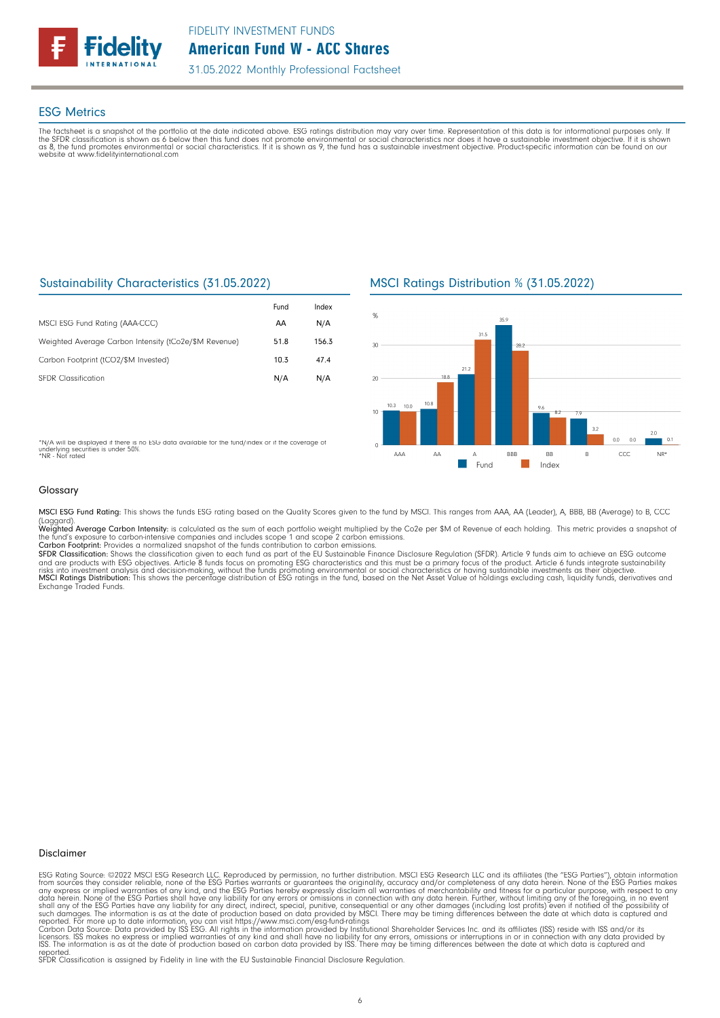

### ESG Metrics

The factsheet is a snapshot of the portfolio at the date indicated above. ESG ratings distribution may vary over time. Representation of this data is for informational purposes only. If<br>the SFDR classification is shown as website at www.fidelityinternational.com

### Sustainability Characteristics (31.05.2022)

|                                                       | Fund | Index |
|-------------------------------------------------------|------|-------|
| MSCI ESG Fund Rating (AAA-CCC)                        | AA   | N/A   |
| Weighted Average Carbon Intensity (tCo2e/\$M Revenue) | 51.8 | 156.3 |
| Carbon Footprint (tCO2/\$M Invested)                  | 10.3 | 47.4  |
| <b>SFDR Classification</b>                            | N/A  | N/A   |

MSCI Ratings Distribution % (31.05.2022)



\*N/A will be displayed if there is no ESG data available for the fund/index or if the coverage of underlying securities is under 50%. \*NR - Not rated

#### Glossary

MSCI ESG Fund Rating: This shows the funds ESG rating based on the Quality Scores given to the fund by MSCI. This ranges from AAA, AA (Leader), A, BBB, BB (Average) to B, CCC

(Laggard).<br>**Weighted Average Carbon Intensity**: is calculated as the sum of each portfolio weight multiplied by the Co2e per \$M of Revenue of each holding. This metric provides a snapshot o

the fund's exposure to carbon-intensive companies and includes scope 1 and scope 2 carbon emissions.<br>**Carbon Footprint**: Provides a normalized snapshot of the funds contribution to carbon emissions.<br>**SFDR Classification:** and are products with ESG objectives. Article 8 funds focus on promoting ESG characteristics and this must be a primary focus of the product. Article 6 funds integrate sustainability<br>risks into investment analysis and deci

#### Disclaimer

ESG Rating Source: ©2022 MSCI ESG Research LLC. Reproduced by permission, no further distribution. MSCI ESG Research LLC and its affiliates (the "ESG Parties"), obtain information<br>from sources they consider reliable, none

reported. SFDR Classification is assigned by Fidelity in line with the EU Sustainable Financial Disclosure Regulation.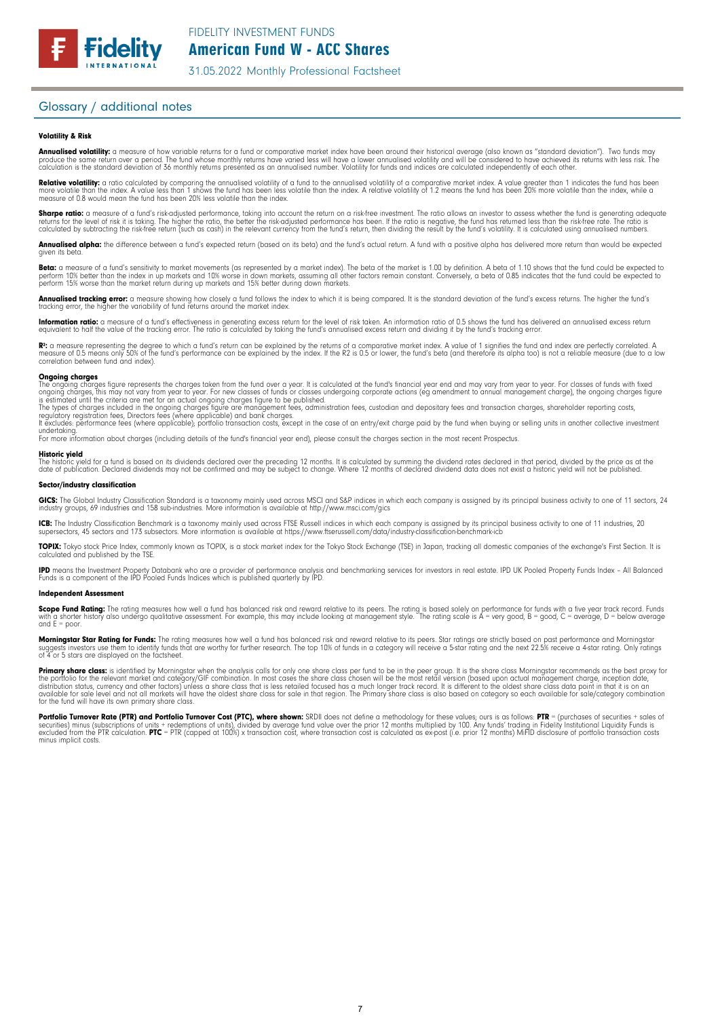### Glossary / additional notes

#### Volatility & Risk

**Annualised volatility:** a measure of how variable returns for a fund or comparative market index have been around their historical average (also known as "standard deviation"). Two funds may<br>produce the same return over a calculation is the standard deviation of 36 monthly returns presented as an annualised number. Volatility for funds and indices are calculated independently of each other

**Relative volatility:** a ratio calculated by comparing the annualised volatility of a fund to the annualised volatility of a comparative market index. A value greater than 1 indicates the fund has been<br>more volatile than t measure of 0.8 would mean the fund has been 20% less volatile than the index.

**Sharpe ratio:** a measure of a fund's risk-adjusted performance, taking into account the return on a risk-free investment. The ratio allows an investor to assess whether the fund is generating adequate the tund is generati

Annualised alpha: the difference between a fund's expected return (based on its beta) and the fund's actual return. A fund with a positive alpha has delivered more return than would be expected given its beta

**Beta:** a measure of a fund's sensitivity to market movements (as represented by a market index). The beta of the market is 1.00 by definition. A beta of 1.10 shows that the fund could be expected to<br>perform 10% better tha perform 15% worse than the market return during up markets and 15% better during down markets.

**Annualised tracking error:** a measure showing how closely a tund tollows the index to which it is being compared. It is the standard deviation of the fund's excess returns. The higher the fund's<br>tracking error, the higher

**Information ratio:** a measure ot a tund's eftectiveness in generating excess return for the level of risk taken. An information ratio of U.5 shows the fund has delivered an annualised excess return<br>equivalent to half the

Rº: a measure representing the degree to which a fund's return can be explained by the returns of a comparative market index. A value of 1 signifies the fund and index are perfectly correlated. A<br>measure of 0.5 means only correlation between fund and index).

**Ongoing charges** figure represents the charges taken from the fund over a year. It is calculated at the fund's financial year end and may vary from year to year. For classes of funds with fixed ongoing charges figure repr

For more information about charges (including details of the fund's financial year end), please consult the charges section in the most recent Prospectus.

**Historic yield**<br>The historic yield for a fund is based on its dividends declared over the preceding 12 months. It is calculated by summing the dividend rates declared in that period, divided by the price as at the date of publication. Declared dividends may not be confirmed and may be subject to change. Where 12 months of declared dividend data does not exist a historic yield will not be published.

#### Sector/industry classification

GICS: The Global Industry Classification Standard is a taxonomy mainly used across MSCI and S&P indices in which each company is assigned by its principal business activity to one of 11 sectors, 24 industry groups, 69 industries and 158 sub-industries. More information is available at http://www.msci.com/gics

**ICB:** The Industry Classitication Benchmark is a taxonomy mainly used across FTSE Russell indices in which each company is assigned by its principal business activity to one of 11 industries, 20<br>supersectors, 45 sectors a

TOPIX: Tokyo stock Price Index, commonly known as TOPIX, is a stock market index for the Tokyo Stock Exchange (TSE) in Japan, tracking all domestic companies of the exchange's First Section. It is calculated and published by the TSE.

**IPD** means the Investment Property Databank who are a provider of performance analysis and benchmarking services for investors in real estate. IPD UK Pooled Property Funds Index - All Balanced<br>Funds is a component of the

#### Independent Assessment

**Scope Fund Rating:** The rating measures how well a fund has balanced risk and reward relative to its peers. The rating is based solely on performance for funds with a five year track record. Funds<br>with a shorter history a and  $E = poor$ 

**Morningstar Star Rating for Funds:** The rating measures how well a tund has balanced risk and reward relative to its peers. Star ratings are strictly based on past performance and Morningstar<br>suggests investors use them t

**Primary share class:** is identified by Morningstar when the analysis calls for only one share class per fund to be in the peer group. It is the share class Morningstar recommends as the best proxy for the best proxy for c for the fund will have its own primary share class.

Portfolio Turnover Rate (PTR) and Portfolio Turnover Cost (PTC), where shown: SRDII does not define a methodology for these values; ours is as follows: PTR = (purchases of securities + sales of<br>securities) minus (subscript minus implicit costs.